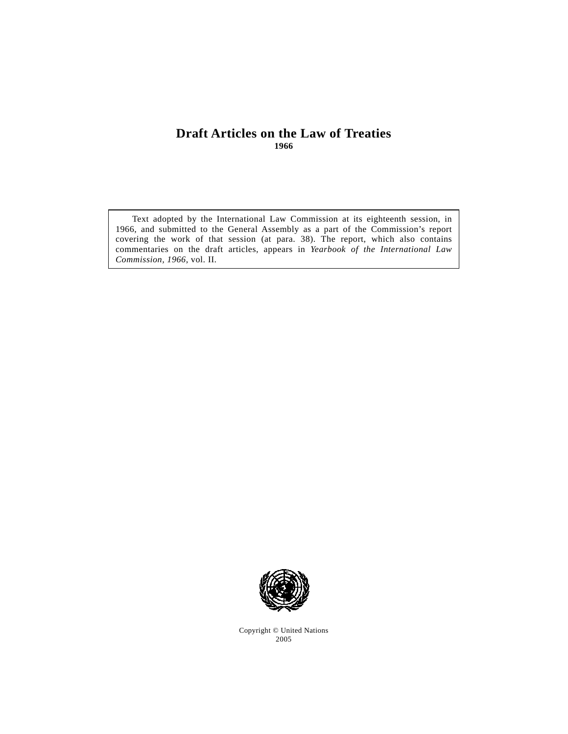# **Draft Articles on the Law of Treaties 1966**

Text adopted by the International Law Commission at its eighteenth session, in 1966, and submitted to the General Assembly as a part of the Commission's report covering the work of that session (at para. 38). The report, which also contains commentaries on the draft articles, appears in *Yearbook of the International Law Commission, 1966*, vol. II.



Copyright © United Nations 2005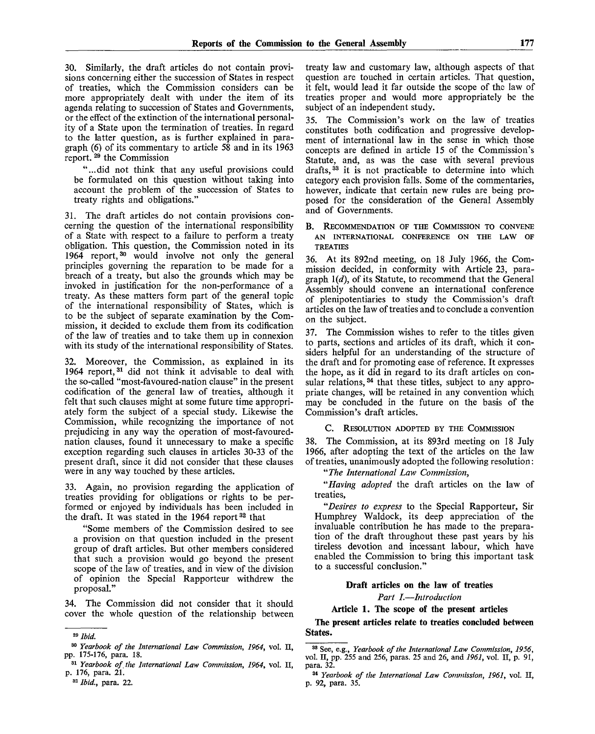30. Similarly, the draft articles do not contain provisions concerning either the succession of States in respect of treaties, which the Commission considers can be more appropriately dealt with under the item of its agenda relating to succession of States and Governments, or the effect of the extinction of the international personality of a State upon the termination of treaties. In regard to the latter question, as is further explained in paragraph (6) of its commentary to article 58 and in its 1963 report.<sup>29</sup> the Commission

"...did not think that any useful provisions could be formulated on this question without taking into account the problem of the succession of States to treaty rights and obligations."

31. The draft articles do not contain provisions concerning the question of the international responsibility of a State with respect to a failure to perform a treaty obligation. This question, the Commission noted in its 1964 report,  $30$  would involve not only the general principles governing the reparation to be made for a breach of a treaty, but also the grounds which may be invoked in justification for the non-performance of a treaty. As these matters form part of the general topic of the international responsibility of States, which is to be the subject of separate examination by the Commission, it decided to exclude them from its codification of the law of treaties and to take them up in connexion with its study of the international responsibility of States.

32. Moreover, the Commission, as explained in its 1964 report,<sup>31</sup> did not think it advisable to deal with the so-called "most-favoured-nation clause" in the present codification of the general law of treaties, although it felt that such clauses might at some future time appropriately form the subject of a special study. Likewise the Commission, while recognizing the importance of not prejudicing in any way the operation of most-favourednation clauses, found it unnecessary to make a specific exception regarding such clauses in articles 30-33 of the present draft, since it did not consider that these clauses were in any way touched by these articles.

33. Again, no provision regarding the application of treaties providing for obligations or rights to be performed or enjoyed by individuals has been included in the draft. It was stated in the 1964 report<sup>32</sup> that

"Some members of the Commission desired to see a provision on that question included in the present group of draft articles. But other members considered that such a provision would go beyond the present scope of the law of treaties, and in view of the division of opinion the Special Rapporteur withdrew the proposal."

34. The Commission did not consider that it should cover the whole question of the relationship between

treaty law and customary law, although aspects of that question are touched in certain articles. That question, it felt, would lead it far outside the scope of the law of treaties proper and would more appropriately be the subject of an independent study.

35. The Commission's work on the law of treaties constitutes both codification and progressive development of international law in the sense in which those concepts are defined in article 15 of the Commission's Statute, and, as was the case with several previous drafts, <sup>33</sup> it is not practicable to determine into which category each provision falls. Some of the commentaries, however, indicate that certain new rules are being proposed for the consideration of the General Assembly and of Governments.

B. RECOMMENDATION OF THE COMMISSION TO CONVENE AN INTERNATIONAL CONFERENCE ON THE LAW OF TREATIES

36. At its 892nd meeting, on 18 July 1966, the Commission decided, in conformity with Article 23, paragraph *l(d),* of its Statute, to recommend that the General Assembly should convene an international conference of plenipotentiaries to study the Commission's draft articles on the law of treaties and to conclude a convention on the subject.

37. The Commission wishes to refer to the titles given to parts, sections and articles of its draft, which it considers helpful for an understanding of the structure of the draft and for promoting ease of reference. It expresses the hope, as it did in regard to its draft articles on consular relations, <sup>34</sup> that these titles, subject to any appropriate changes, will be retained in any convention which may be concluded in the future on the basis of the Commission's draft articles.

#### C. RESOLUTION ADOPTED BY THE COMMISSION

38. The Commission, at its 893rd meeting on 18 July 1966, after adopting the text of the articles on the law of treaties, unanimously adopted the following resolution:

# *"The International Law Commission,*

*"Having adopted* the draft articles on the law of treaties,

*"Desires to express* to the Special Rapporteur, Sir Humphrey Waldock, its deep appreciation of the invaluable contribution he has made to the preparation of the draft throughout these past years by his tireless devotion and incessant labour, which have enabled the Commission to bring this important task to a successful conclusion."

# **Draft articles on the law of treaties**

*Part I.*—*Introduction*

### **Article 1. The scope of the present articles**

**The present articles relate to treaties concluded between States.**

<sup>29</sup>  *Ibid.*

<sup>30</sup>  *Yearbook of the International Law Commission, 1964,* vol. II, pp. 175-176, para. 18.

<sup>31</sup>  *Yearbook of , the International Law Commission, 1964,* vol. II, p. 176, para. 21.

<sup>32</sup>  *Ibid.,* para. 22.

<sup>38</sup> See, e.g., *Yearbook of the International Law Commission, 1956,* vol. II, pp. 255 and 256, paras. 25 and 26, and *1961,* vol. II, p. 91, para. 32.

<sup>34</sup>  *Yearbook of the International Law Commission, 1961,* vol. II, p. 92, para. 35.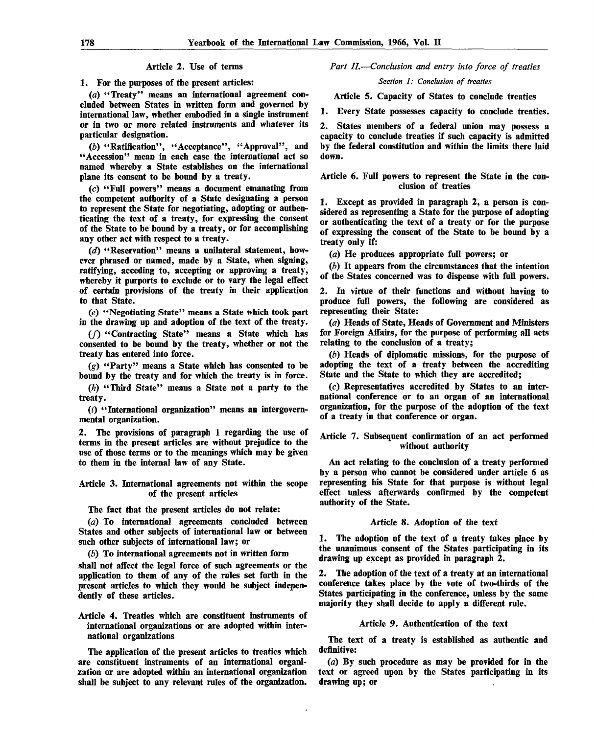# **Article 2. Use of terms**

**1. For the purposes of the present articles:**

*(a)* **"Treaty" means an international agreement concluded between States in written form and governed by international law, whether embodied in a single instrument or in two or more related instruments and whatever its particular designation.**

*(b)* **"Ratification", "Acceptance", "Approval", and "Accession" mean in each case the international act so named whereby a State establishes on the international plane its consent to be bound by a treaty.**

**(c) "Full powers" means a document emanating from the competent authority of a State designating a person to represent the State for negotiating, adopting or authenticating the text of a treaty, for expressing the consent of the State to be bound by a treaty, or for accomplishing any other act with respect to a treaty.**

*(d)* **"Reservation" means a unilateral statement, however phrased or named, made by a State, when signing, ratifying, acceding to, accepting or approving a treaty, whereby it purports to exclude or to vary the legal effect of certain provisions of the treaty in their application to that State.**

**(e) "Negotiating State" means a State which took part in the drawing up and adoption of the text of the treaty.**

**(/) "Contracting State" means a State which has consented to be bound by the treaty, whether or not the treaty has entered into force.**

*(g)* **"Party" means a State which has consented to be bound by the treaty and for which the treaty is in force.**

**(A) "Third State" means a State not a party to the treaty.**

(*i*) "International organization" means an intergovern**mental organization.**

**2. The provisions of paragraph 1 regarding the use of terms in the present articles are without prejudice to the use of those terms or to the meanings which may be given to them in the internal law of any State.**

**Article 3. International agreements not within the scope of the present articles**

**The fact that the present articles do not relate:**

*(a)* **To international agreements concluded between States and other subjects of international law or between such other subjects of international law; or**

*(b)* **To international agreements not in written form**

**shall not affect the legal force of such agreements or the application to them of any of the rules set forth in the present articles to which they would be subject independently of these articles.**

**Article 4. Treaties which are constituent instruments of international organizations or are adopted within international organizations**

**The application of the present articles to treaties which are constituent instruments of an international organization or are adopted within an international organization shall be subject to any relevant rules of the organization.** *Part II.***—***Conclusion and entry into force of treaties Section 1: Conclusion of treaties*

**Article 5. Capacity of States to conclude treaties**

**1. Every State possesses capacity to conclude treaties.**

**2. States members of a federal union may possess a capacity to conclude treaties if such capacity is admitted by the federal constitution and within the limits there laid down.**

**Article 6. Full powers to represent the State in the conclusion of treaties**

**1. Except as provided in paragraph 2, a person is considered as representing a State for the purpose of adopting or authenticating the text of a treaty or for the purpose of expressing the consent of the State to be bound by a treaty only if:**

**(a) He produces appropriate full powers; or**

*(b)* **It appears from the circumstances that the intention of the States concerned was to dispense with full powers.**

**2. In virtue of their functions and without having** *to* **produce full powers, the following are considered as representing their State:**

*(a)* **Heads of State, Heads of Government and Ministers for Foreign Affairs, for the purpose of performing all acts relating to the conclusion of a treaty;**

*(b)* **Heads of diplomatic missions, for the purpose of adopting the text of a treaty between the accrediting State and the State to which they are accredited;**

**(c) Representatives accredited by States to an international conference or to an organ of an international organization, for the purpose of the adoption of the text of a treaty in that conference or organ.**

# **Article 7. Subsequent confirmation of an act performed without authority**

**An act relating to the conclusion of a treaty performed by a person who cannot be considered under article 6 as representing his State for that purpose is without legal effect unless afterwards confirmed by the competent authority of the State.**

### **Article 8. Adoption of the** *text*

**1. The adoption of the text of a treaty takes place by the unanimous consent of the States participating in its drawing up except as provided in paragraph 2.**

**2. The adoption of the text of a treaty at an international conference takes place by the vote of two-thirds of the States participating in the conference, unless by the same majority they shall decide to apply a different rule.**

## **Article 9. Authentication of the** *text*

**The text of a treaty is established as authentic and definitive:**

*(a)* **By such procedure as may be provided for in the text or agreed upon by the States participating in its drawing up; or**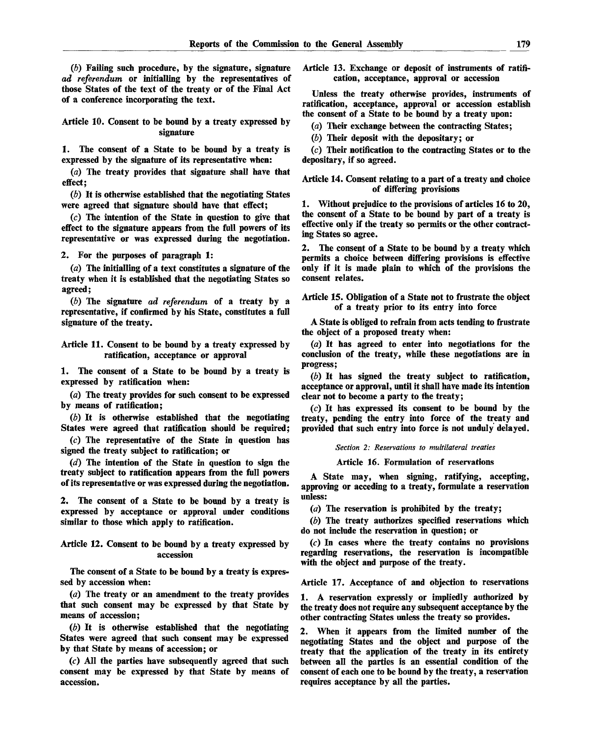*(b)* **Failing such procedure, by the signature, signature** *ad referendum* **or initialling by the representatives of those States of the text of the treaty or of the Final Act of a conference incorporating the text.**

**Article 10. Consent to be bound by a treaty expressed by signature**

**1. The consent of a State to be bound by a treaty is expressed by the signature of its representative when:**

*(a)* **The treaty provides that signature shall have that efTect;**

*(b)* **It is otherwise established that the negotiating States were agreed that signature should have that effect;**

**(c) The intention of the State in question to give that effect to the signature appears from the full powers of its representative or was expressed during the negotiation.**

**2. For the purposes of paragraph 1:**

*(a)* **The initialling of a text constitutes a signature of the treaty when it is established that the negotiating States so agreed;**

*(b)* **The signature** *ad referendum* **of a treaty by a representative, if confirmed by his State, constitutes a full signature of the treaty.**

**Article 11. Consent to be bound by a treaty expressed by ratification, acceptance or approval**

**1. The consent of a State to be bound by a treaty is expressed by ratification when:**

**(a) The treaty provides for such consent to be expressed by means of ratification;**

*(b)* **It is otherwise established that the negotiating States were agreed that ratification should be required;**

**(c) The representative of the State in question has signed the treaty subject to ratification; or**

*(d)* **The intention of the State in question to sign the treaty subject to ratification appears from the full powers of its representative or was expressed during the negotiation.**

**2. The consent of a State to be bound by a treaty is expressed by acceptance or approval under conditions similar to those which apply to ratification.**

# **Article 12. Consent to be bound by a treaty expressed by accession**

**The consent of a State to be bound by a treaty is expressed by accession when:**

*(a)* **The treaty or an amendment to the treaty provides that such consent may be expressed by that State by means of accession;**

*(b)* **It is otherwise established that the negotiating States were agreed that such consent may be expressed by that State by means of accession; or**

*(c)* **All the parties have subsequently agreed that such consent may be expressed by that State by means of accession.**

**Article 13. Exchange or deposit of instruments of ratification, acceptance, approval or accession**

**Unless the treaty otherwise provides, instruments of ratification, acceptance, approval or accession establish the consent of a State to be bound by a treaty upon:**

**(a) Their exchange between the contracting States;**

*(b)* **Their deposit with the depositary; or**

**(c) Their notification to the contracting States or to the depositary, if so agreed.**

**Article 14. Consent relating to a part of a treaty and choice of differing provisions**

**1. Without prejudice to the provisions of articles 16 to 20, the consent of a State to be bound by part of a treaty is effective only if the treaty so permits or the other contracting States so agree.**

**2. The consent of a State to be bound by a treaty which permits a choice between differing provisions is effective only if it is made plain to which of the provisions the consent relates.**

**Article 15. Obligation of a State not to frustrate the object of a treaty prior to its entry into force**

**A State is obliged to refrain from acts tending to frustrate the object of a proposed treaty when:**

*(a)* **It has agreed to enter into negotiations for the conclusion of the treaty, while these negotiations are in progress;**

*(b)* **It has signed the treaty subject to ratification, acceptance or approval, until it shall have made its intention clear not to become a party to the treaty;**

*(c)* **It has expressed its consent to be bound by the treaty, pending the entry into force of the treaty and provided that such entry into force is not unduly delayed.**

*Section 2: Reservations to multilateral treaties*

**Article 16. Formulation of reservations**

**A State may, when signing, ratifying, accepting, approving or acceding to a treaty, formulate a reservation unless:**

*(a)* **The reservation is prohibited by the treaty;**

*(b)* **The treaty authorizes specified reservations which do not include the reservation in question; or**

*(c)* **In cases where the treaty contains no provisions regarding reservations, the reservation is incompatible with the object and purpose of the treaty.**

**Article 17. Acceptance of and objection to reservations**

**1. A reservation expressly or impliedly authorized by the treaty does not require any subsequent acceptance by the other contracting States unless the treaty so provides.**

**2. When it appears from the limited number of the negotiating States and the object and purpose of the treaty that the application of the treaty in its entirety between all the parties is an essential condition of the consent of each one to be bound by the treaty, a reservation requires acceptance by all the parties.**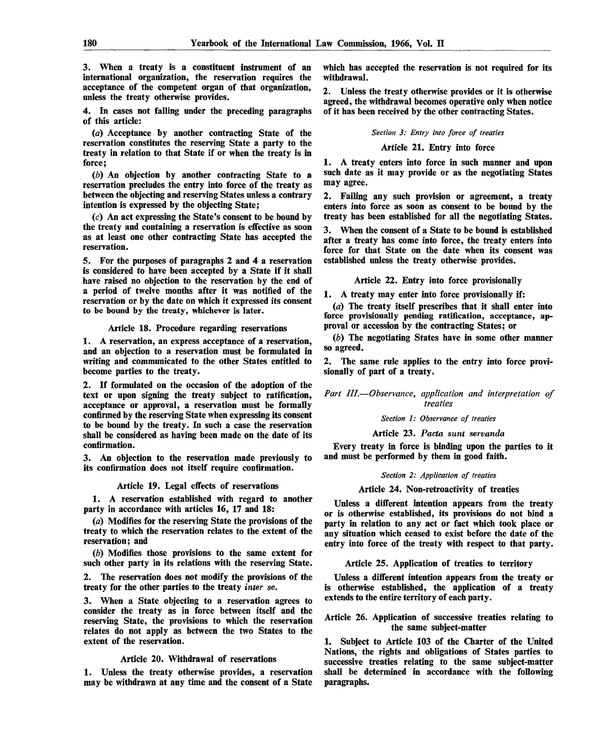**3. When a treaty is a constituent instrument of an international organization, the reservation requires the acceptance of the competent organ of that organization, unless the treaty otherwise provides.**

**4. In cases not falling under the preceding paragraphs of this article:**

*(a)* **Acceptance by another contracting State of the reservation constitutes the reserving State a party to the treaty in relation to that State if or when the treaty is in force;**

*(b)* **An objection by another contracting State to a reservation precludes the entry into force of the treaty as between the objecting and reserving States unless a contrary intention is expressed by the objecting State;**

**(c) An act expressing the State's consent to be bound by the treaty and containing a reservation is effective as soon as at least one other contracting State has accepted the reservation.**

**5. For the purposes of paragraphs 2 and 4 a reservation is considered to have been accepted by a State if it shall have raised no objection to the reservation by the end of a period of twelve months after it was notified of the reservation or by the date on which it expressed its consent to be bound by the treaty, whichever is later.**

### **Article 18. Procedure regarding reservations**

**1. A reservation, an express acceptance of a reservation, and an objection to a reservation must be formulated in writing and communicated to the other States entitled to become parties to the treaty.**

**2. If formulated on the occasion of the adoption of the text or upon signing the treaty subject to ratification, acceptance or approval, a reservation must be formally confirmed by the reserving State when expressing its consent to be bound by the treaty. In such a case the reservation shall be considered as having been made on the date of its confirmation.**

**3. An objection to the reservation made previously to its confirmation does not itself require confirmation.**

#### **Article 19. Legal effects of reservations**

**1. A reservation established with regard to another party in accordance with articles 16, 17 and 18:**

*(a)* **Modifies for the reserving State the provisions of the treaty to which the reservation relates to the extent of the reservation; and**

*(b)* **Modifies those provisions to the same extent for such other party in its relations with the reserving State.**

**2. The reservation does not modify the provisions of the treaty for the other parties to the treaty** *inter se.*

**3. When a State objecting to a reservation agrees to consider the treaty as in force between itself and the reserving State, the provisions to which the reservation relates do not apply as between the two States to the extent of the reservation.**

#### **Article 20. Withdrawal of reservations**

**1. Unless the treaty otherwise provides, a reservation may be withdrawn at any time and the consent of a State**

**which has accepted the reservation is not required for its withdrawal.**

**2. Unless the treaty otherwise provides or it is otherwise agreed, the withdrawal becomes operative only when notice of it has been received by the other contracting States.**

#### *Section 3: Entry into force of treaties*

### **Article 21. Entry into force**

**1. A treaty enters into force in such manner and upon such date as it may provide or as the negotiating States may agree.**

**2. Failing any such provision or agreement, a treaty enters into force as soon as consent to be bound by the treaty has been established for all the negotiating States.**

**3. When the consent of a State to be bound is established after a treaty has come into force, the treaty enters into force for that State on the date when its consent was established unless the treaty otherwise provides.**

# **Article 22. Entry into force provisionally**

**1. A treaty may enter into force provisionally if:**

*(a)* **The treaty itself prescribes that it shall enter into force provisionally pending ratification, acceptance, approval or accession by the contracting States; or**

*(b)* **The negotiating States have in some other manner so agreed.**

**2. The same rule applies to the entry into force provisionally of part of a treaty.**

*Part III.***—***Observance, application and interpretation of treaties*

### *Section 1: Observance of treaties*

#### **Article 23.** *Pacta sunt servanda*

**Every treaty in force is binding upon the parties to it and must be performed by them in good faith.**

#### *Section 2: Application of treaties*

#### **Article 24. Non-retroactivity of treaties**

**Unless a different intention appears from the treaty or is otherwise established, its provisions do not bind a party in relation to any act or fact which took place or any situation which ceased to exist before the date of the entry into force of the treaty with respect to that party.**

**Article 25. Application of treaties to territory**

**Unless a different intention appears from the treaty or is otherwise established, the application of a treaty extends to the entire territory of each party.**

# **Article 26. Application of successive treaties relating to the same subject-matter**

**1. Subject to Article 103 of the Charter of the United Nations, the rights and obligations of States parties to successive treaties relating to the same subject-matter shall be determined in accordance with the following paragraphs.**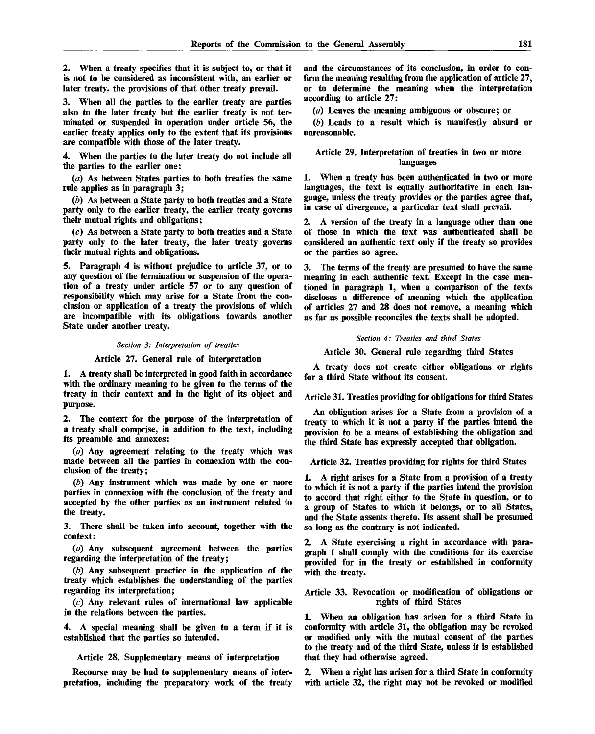2. When a treaty specifies that it is subject to, or that it is not to be considered as inconsistent with, an earlier or later treaty, the provisions of that other treaty prevail.

3. When all the parties to the earlier treaty are parties also to the later treaty but the earlier treaty is not terminated or suspended in operation under article 56, the earlier treaty applies only to the extent that its provisions are compatible with those of the later treaty.

4. When the parties to the later treaty do not include all the parties to the earlier one:

*(a)* As between States parties to both treaties the same rule applies as in paragraph 3;

*(b)* As between a State party to both treaties and a State party only to the earlier treaty, the earlier treaty governs their mutual rights and obligations;

(c) As between a State party to both treaties and a State party only to the later treaty, the later treaty governs their mutual rights and obligations.

5. Paragraph 4 is without prejudice to article 37, or to any question of the termination or suspension of the operation of a treaty under article 57 or to any question of responsibility which may arise for a State from the conclusion or application of a treaty the provisions of which are incompatible with its obligations towards another State under another treaty.

#### *Section 3: Interpretation of treaties*

#### Article 27. General rule of interpretation

1. A treaty shall be interpreted in good faith in accordance with the ordinary meaning to be given to the terms of the treaty in their context and in the light of its object and purpose.

2. The context for the purpose of the interpretation of a treaty shall comprise, in addition to the text, including its preamble and annexes:

*(a)* Any agreement relating to the treaty which was made between all the parties in connexion with the conclusion of the treaty;

*(b)* Any instrument which was made by one or more parties in connexion with the conclusion of the treaty and accepted by the other parties as an instrument related to the treaty.

3. There shall be taken into account, together with the context:

*(a)* Any subsequent agreement between the parties regarding the interpretation of the treaty;

*(b)* Any subsequent practice in the application of the treaty which establishes the understanding of the parties regarding its interpretation;

(c) Any relevant rules of international law applicable in the relations between the parties.

4. A special meaning shall be given to a term if it is established that the parties so intended.

Article 28. Supplementary means of interpretation

Recourse may be had to supplementary means of interpretation, including the preparatory work of the treaty and the circumstances of its conclusion, in order to confirm the meaning resulting from the application of article 27, or to determine the meaning when the interpretation according to article 27:

*(a)* Leaves the meaning ambiguous or obscure; or

*(b)* Leads to a result which is manifestly absurd or unreasonable.

## Article 29. Interpretation of treaties in two or more languages

1. When a treaty has been authenticated in two or more languages, the text is equally authoritative in each language, unless the treaty provides or the parties agree that, in case of divergence, a particular text shall prevail.

2. A version of the treaty in a language other than one of those in which the text was authenticated shall be considered an authentic text only if the treaty so provides or the parties so agree.

3. The terms of the treaty are presumed to have the same meaning in each authentic text. Except in the case mentioned in paragraph 1, when a comparison of the texts discloses a difference of meaning which the application of articles 27 and 28 does not remove, a meaning which as far as possible reconciles the texts shall be adopted.

#### *Section 4: Treaties and third States*

Article 30. General rule regarding third States

A treaty does not create either obligations or rights for a third State without its consent.

Article 31. Treaties providing for obligations for third States

An obligation arises for a State from a provision of a treaty to which it is not a party if the parties intend the provision to be a means of establishing the obligation and the third State has expressly accepted that obligation.

Article 32. Treaties providing for rights for third States

1. A right arises for a State from a provision of a treaty to which it is not a party if the parties intend the provision to accord that right either to the State in question, or to a group of States to which it belongs, or to all States, and the State assents thereto. Its assent shall be presumed so long as the contrary is not indicated.

2. A State exercising a right in accordance with paragraph 1 shall comply with the conditions for its exercise provided for in the treaty or established in conformity with the treaty.

Article 33. Revocation or modification of obligations or rights of third States

1. When an obligation has arisen for a third State in conformity with article 31, the obligation may be revoked or modified only with the mutual consent of the parties to the treaty and of the third State, unless it is established that they had otherwise agreed.

2. When a right has arisen for a third State in conformity with article 32, the right may not be revoked or modified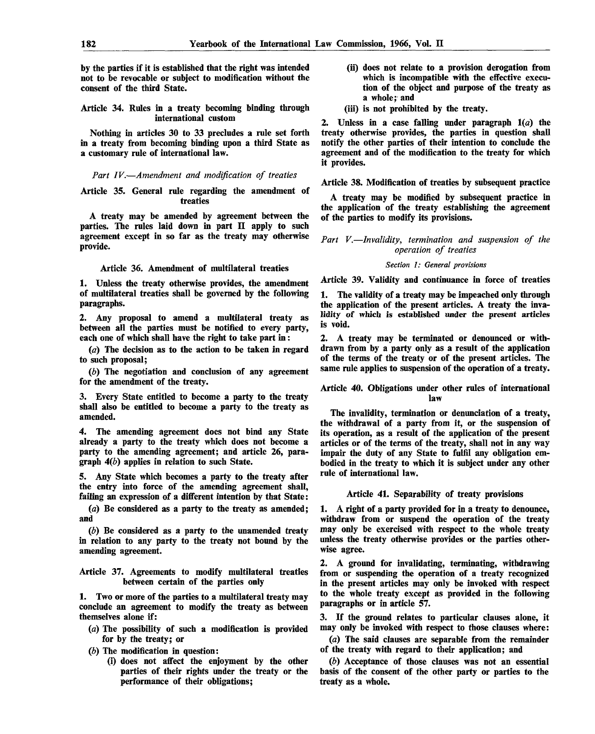**by the parties if it is established that the right was intended not to be revocable or subject to modification without the consent of the third State.**

# **Article 34. Rules in a treaty becoming binding through international custom**

**Nothing in articles 30 to 33 precludes a rule set forth in a treaty from becoming binding upon a third State as a customary rule of international law.**

# *Part IV.***—***Amendment and modification of treaties*

**Article 35. General rule regarding the amendment of treaties**

**A treaty may be amended by agreement between the parties. The rules laid down in part II apply to such agreement except in so far as the treaty may otherwise provide.**

# **Article 36. Amendment of multilateral treaties**

**1. Unless the treaty otherwise provides, the amendment of multilateral treaties shall be governed by the following paragraphs.**

**2. Any proposal to amend a multilateral treaty as between all the parties must be notified to every party, each one of which shall have the right to take part in:**

*{a)* **The decision as to the action to be taken in regard to such proposal;**

*(b)* **The negotiation and conclusion of any agreement for the amendment of the treaty.**

**3. Every State entitled to become a party to the treaty shall also be entitled to become a party to the treaty as amended.**

**4. The amending agreement does not bind any State already a party to the treaty which does not become a party to the amending agreement; and article 26, paragraph** *4(b)* **applies in relation to such State.**

**5. Any State which becomes a party to the treaty after the entry into force of the amending agreement shall, failing an expression of a different intention by that State:**

*(a)* **Be considered as a party to the treaty as amended; and**

*(b)* **Be considered as a party to the unamended treaty in relation to any party to the treaty not bound by the amending agreement.**

**Article 37. Agreements to modify multilateral treaties between certain of the parties only**

**1. Two or more of the parties to a multilateral treaty may conclude an agreement to modify the treaty as between themselves alone if:**

- **(a) The possibility of such a modification is provided for by the treaty; or**
- *(b)* **The modification in question:**
	- **(i) does not affect the enjoyment by the other parties of their rights under the treaty or the performance of their obligations;**
- **(ii) does not relate to a provision derogation from which is incompatible with the effective execution of the object and purpose of the treaty as a whole; and**
- **(iii) is not prohibited by the treaty.**

**2. Unless in a case falling under paragraph** *l(a)* **the treaty otherwise provides, the parties in question shall notify the other parties of their intention to conclude the agreement and of the modification to the treaty for which it provides.**

**Article 38. Modification of treaties by subsequent practice**

**A treaty may be modified by subsequent practice in the application of the treaty establishing the agreement of the parties to modify its provisions.**

## *Part V.***—***Invalidity, termination and suspension of the operation of treaties*

#### *Section 1: General provisions*

**Article 39. Validity and continuance in force of treaties**

**1. The validity of a treaty may be impeached only through the application of the present articles. A treaty the invalidity of which is established under the present articles is void.**

**2. A treaty may be terminated or denounced or withdrawn from by a party only as a result of the application of the terms of the treaty or of the present articles. The same rule applies to suspension of the operation of a treaty.**

# **Article 40. Obligations under other rules of international law**

**The invalidity, termination or denunciation of a treaty, the withdrawal of a party from it, or the suspension of its operation, as a result of the application of the present articles or of the terms of the treaty, shall not in any way impair the duty of any State to fulfil any obligation embodied in the treaty to which it is subject under any other rule of international law.**

#### **Article 41. Separability of treaty provisions**

**1. A right of a party provided for in a treaty to denounce, withdraw from or suspend the operation of the treaty may only be exercised with respect to the whole treaty unless the treaty otherwise provides or the parties otherwise agree.**

**2. A ground for invalidating, terminating, withdrawing from or suspending the operation of a treaty recognized in the present articles may only be invoked with respect to the whole treaty except as provided in the following paragraphs or in article 57.**

**3. If the ground relates to particular clauses alone, it may only be invoked with respect to those clauses where:**

*(a)* **The said clauses are separable from the remainder of the treaty with regard to their application; and**

*(b)* **Acceptance of those clauses was not an essential basis of the consent of the other party or parties to the treaty as a whole.**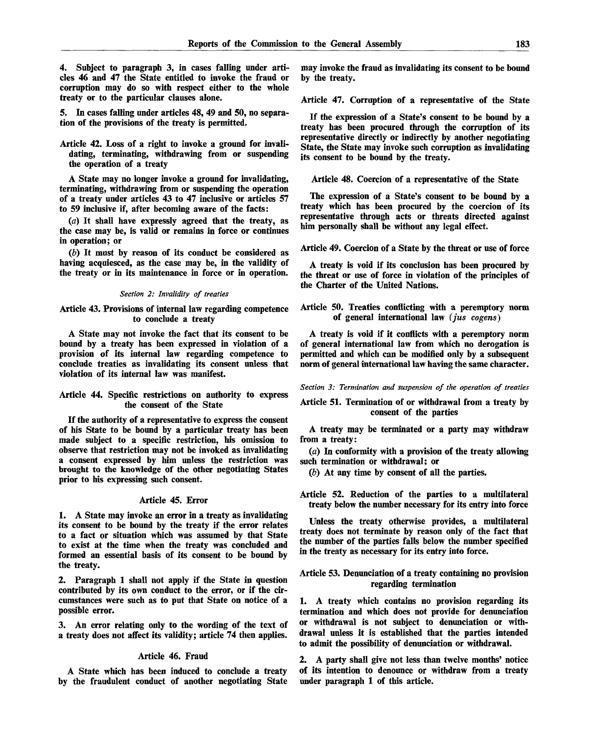**4. Subject to paragraph 3, in cases falling under articles 46 and 47 the State entitled to invoke the fraud or corruption may do so with respect either to the whole treaty or to the particular clauses alone.**

**5. In cases falling under articles 48, 49 and 50, no separation of the provisions of the treaty is permitted.**

**Article 42. Loss of a right to invoke a ground for invalidating, terminating, withdrawing from or suspending the operation of a treaty**

**A State may no longer invoke a ground for invalidating, terminating, withdrawing from or suspending the operation of a treaty under articles 43 to 47 inclusive or articles 57 to 59 inclusive if, after becoming aware of the facts:**

**(a) It shall have expressly agreed that the treaty, as the case may be, is valid or remains in force or continues in operation; or**

*(b)* **It must by reason of its conduct be considered as having acquiesced, as the case may be, in the validity of the treaty or in its maintenance in force or in operation.**

#### *Section 2: Invalidity of treaties*

**Article 43. Provisions of internal law regarding competence to conclude a treaty**

**A State may not invoke the fact that its consent to be bound by a treaty has been expressed in violation of a provision of its internal law regarding competence to conclude treaties as invalidating its consent unless that violation of its internal law was manifest.**

**Article 44. Specific restrictions on authority to express the consent of the State**

**If the authority of a representative to express the consent of his State to be bound by a particular treaty has been made subject to a specific restriction, his omission to observe that restriction may not be invoked as invalidating a consent expressed by him unless the restriction was brought to the knowledge of the other negotiating States prior to his expressing such consent.**

### **Article 45. Error**

**1. A State may invoke an error in a treaty as invalidating its consent to be bound by the treaty if the error relates to a fact or situation which was assumed by that State to exist at the time when the treaty was concluded and formed an essential basis of its consent to be bound by the treaty.**

**2. Paragraph 1 shall not apply if the State in question contributed by its own conduct to the error, or if the circumstances were such as to put that State on notice of a possible error.**

**3. An error relating only to the wording of the text of a treaty does not affect its validity; article 74 then applies.**

# **Article 46. Fraud**

**A State which has been induced to conclude a treaty by the fraudulent conduct of another negotiating State** **may invoke the fraud as invalidating its consent to be bound by the treaty.**

**Article 47. Corruption of a representative of the State**

**If the expression of a State's consent to be bound by a treaty has been procured through the corruption of its representative directly or indirectly by another negotiating State, the State may invoke such corruption as invalidating its consent to be bound by the treaty.**

**Article 48. Coercion of a representative of the State**

**The expression of a State's consent to be bound by a treaty which has been procured by the coercion of its representative through acts or threats directed against him personally shall be without any legal effect.**

**Article 49. Coercion of a State by the threat or use of force**

**A treaty is void if its conclusion has been procured by the threat or use of force in violation of the principles of the Charter of the United Nations.**

**Article 50. Treaties conflicting with a peremptory norm of general international law** *(jus cogens)*

**A treaty is void if it conflicts with a peremptory norm of general international law from which no derogation is permitted and which can be modified only by a subsequent norm of general international law having the same character.**

*Section 3: Termination and suspension of the operation of treaties*

**Article 51. Termination of or withdrawal from a treaty by consent of the parties**

**A treaty may be terminated or a party may withdraw from a treaty:**

*(a)* **In conformity with a provision of the treaty allowing such termination or withdrawal; or**

*(b)* **At any time by consent of all the parties.**

**Article 52. Reduction of the parties to a multilateral treaty below the number necessary for its entry into force**

**Unless the treaty otherwise provides, a multilateral treaty does not terminate by reason only of the fact that the number of the parties falls below the number specified in the treaty as necessary for its entry into force.**

# **Article 53. Denunciation of a treaty containing no provision regarding termination**

**1. A treaty which contains no provision regarding its termination and which does not provide for denunciation or withdrawal is not subject to denunciation or withdrawal unless it is established that the parties intended to admit the possibility of denunciation or withdrawal.**

**2. A party shall give not less than twelve months' notice of its intention to denounce or withdraw from a treaty under paragraph 1 of this article.**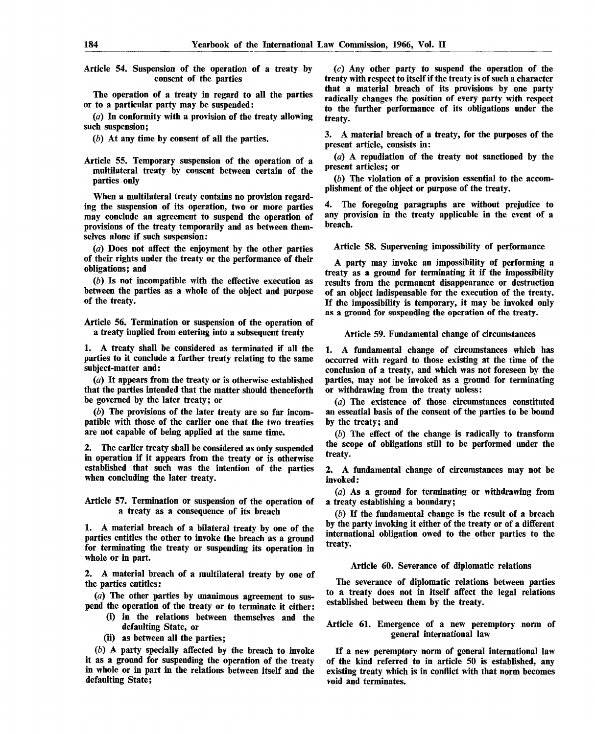Article 54. Suspension of the operation of a treaty by consent of the parties

The operation of a treaty in regard to all the parties or to a particular party may be suspended:

*(a)* In conformity with a provision of the treaty allowing such suspension;

*(b)* At any time by consent of all the parties.

Article 55. Temporary suspension of the operation of a multilateral treaty by consent between certain of the parties only

When a multilateral treaty contains no provision regarding the suspension of its operation, two or more parties may conclude an agreement to suspend the operation of provisions of the treaty temporarily and as between themselves alone if such suspension:

*(a)* Does not affect the enjoyment by the other parties of their rights under the treaty or the performance of their obligations; and

*(b)* Is not incompatible with the effective execution as between the parties as a whole of the object and purpose of the treaty.

Article 56. Termination or suspension of the operation of a treaty implied from entering into a subsequent treaty

1. A treaty shall be considered as terminated if all the parties to it conclude a further treaty relating to the same subject-matter and:

*(a)* It appears from the treaty or is otherwise established that the parties intended that the matter should thenceforth be governed by the later treaty; or

 $(b)$  The provisions of the later treaty are so far incompatible with those of the earlier one that the two treaties are not capable of being applied at the same time.

2. The earlier treaty shall be considered as only suspended in operation if it appears from the treaty or is otherwise established that such was the intention of the parties when concluding the later treaty.

Article 57. Termination or suspension of the operation of a treaty as a consequence of its breach

1. A material breach of a bilateral treaty by one of the parties entitles the other to invoke the breach as a ground for terminating the treaty or suspending its operation in whole or in part.

2. A material breach of a multilateral treaty by one of the parries entitles:

(a) The other parties by unanimous agreement to suspend the operation of the treaty or to terminate it either:

- (i) in the relations between themselves and the defaulting State, or
- (ii) as between all the parties;

*(b)* A party specially affected by the breach to invoke it as a ground for suspending the operation of the treaty in whole or in part in the relations between itself and the defaulting State;

(c) Any other party to suspend the operation of the treaty with respect to itself if the treaty is of such a character that a material breach of its provisions by one party radically changes the position of every party with respect to the further performance of its obligations under the treaty.

3. A material breach of a treaty, for the purposes of the present article, consists in:

(a) A repudiation of the treaty not sanctioned by the present articles; or

 $(b)$  The violation of a provision essential to the accomplishment of the object or purpose of the treaty.

4. The foregoing paragraphs are without prejudice to any provision in the treaty applicable in the event of a breach.

Article 58. Supervening impossibility of performance

A party may invoke an impossibility of performing a treaty as a ground for terminating it if the impossibility results from the permanent disappearance or destruction of an object indispensable for the execution of the treaty. If the impossibility is temporary, it may be invoked only as a ground for suspending the operation of the treaty.

Article 59. Fundamental change of circumstances

1. A fundamental change of circumstances which has occurred with regard to those existing at the time of the conclusion of a treaty, and which was not foreseen by the parties, may not be invoked as a ground for terminating or withdrawing from the treaty unless:

*(a)* The existence of those circumstances constituted an essential basis of the consent of the parties to be bound by the treaty; and

*(b)* The effect of the change is radically to transform the scope of obligations still to be performed under the treaty.

2. A fundamental change of circumstances may not be invoked:

*(a)* As a ground for terminating or withdrawing from a treaty establishing a boundary;

*(b)* If the fundamental change is the result of a breach by the party invoking it either of the treaty or of a different international obligation owed to the other parties to the treaty.

Article 60. Severance of diplomatic relations

The severance of diplomatic relations between parties to a treaty does not in itself affect the legal relations established between them by the treaty.

Article 61. Emergence of a new peremptory norm of general international law

If a new peremptory norm of general international law of the kind referred to in article 50 is established, any existing treaty which is in conflict with that norm becomes void and terminates.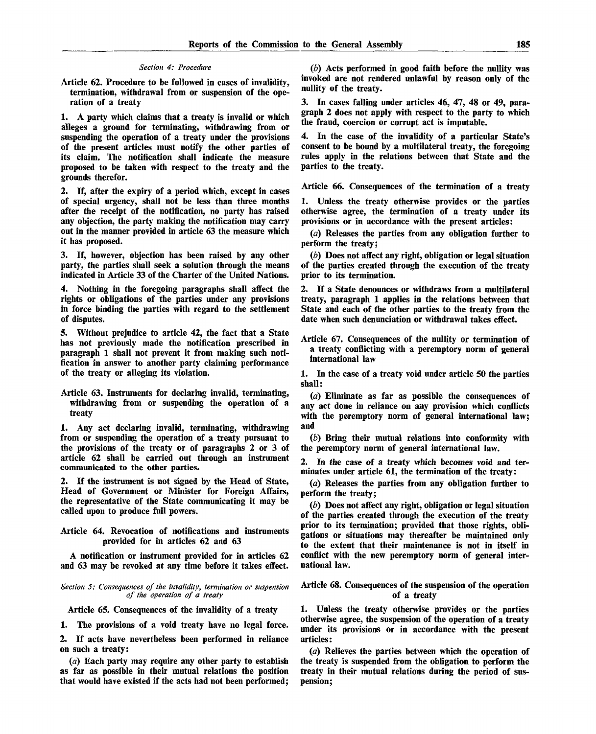#### *Section 4: Procedure*

Article 62. Procedure to be followed in cases of invalidity, termination, withdrawal from or suspension of the operation of a treaty

1. A party which claims that a treaty is invalid or which alleges a ground for terminating, withdrawing from or suspending the operation of a treaty under the provisions of the present articles must notify the other parties of its claim. The notification shall indicate the measure proposed to be taken with respect to the treaty and the grounds therefor.

2. If, after the expiry of a period which, except in cases of special urgency, shall not be less than three months after the receipt of the notification, no party has raised any objection, the party making the notification may carry out in the manner provided in article 63 the measure which it has proposed.

3. If, however, objection has been raised by any other party, the parties shall seek a solution through the means indicated in Article 33 of the Charter of the United Nations.

4. Nothing in the foregoing paragraphs shall affect the rights or obligations of the parties under any provisions in force binding the parties with regard to the settlement of disputes.

5. Without prejudice to article 42, the fact that a State has not previously made the notification prescribed in paragraph 1 shall not prevent it from making such notification in answer to another party claiming performance of the treaty or alleging its violation.

Article 63. Instruments for declaring invalid, terminating, withdrawing from or suspending the operation of a treaty

1. Any act declaring invalid, terminating, withdrawing from or suspending the operation of a treaty pursuant to the provisions of the treaty or of paragraphs 2 or 3 of article 62 shall be carried out through an instrument communicated to the other parties.

2. If the instrument is not signed by the Head of State, Head of Government or Minister for Foreign Affairs, the representative of the State communicating it may be called upon to produce full powers.

# Article 64. Revocation of notifications and instruments provided for in articles 62 and 63

A notification or instrument provided for in articles 62 and 63 may be revoked at any time before it takes effect.

*Section 5: Consequences of the invalidity, termination or suspension of the operation of a treaty*

Article 65. Consequences of the invalidity of a treaty

1. The provisions of a void treaty have no legal force.

2. If acts have nevertheless been performed in reliance on such a treaty:

*(a)* Each party may require any other party to establish as far as possible in their mutual relations the position that would have existed if the acts had not been performed;

*(b)* Acts performed in good faith before the nullity was invoked are not rendered unlawful by reason only of the nullity of the treaty.

3. In cases falling under articles 46, 47, 48 or 49, paragraph 2 does not apply with respect to the party to which the fraud, coercion or corrupt act is imputable.

In the case of the invalidity of a particular State's consent to be bound by a multilateral treaty, the foregoing rules apply in the relations between that State and the parties to the treaty.

Article 66. Consequences of the termination of a treaty

1. Unless the treaty otherwise provides or the parties otherwise agree, the termination of a treaty under its provisions or in accordance with the present articles:

*(a)* Releases the parties from any obligation further to perform the treaty;

*(b)* Does not affect any right, obligation or legal situation of the parties created through the execution of the treaty prior to its termination.

2. If a State denounces or withdraws from a multilateral treaty, paragraph 1 applies in the relations between that State and each of the other parties to the treaty from the date when such denunciation or withdrawal takes effect.

Article 67. Consequences of the nullity or termination of a treaty conflicting with a peremptory norm of general international law

1. In the case of a treaty void under article 50 the parties shall:

*(a)* Eliminate as far as possible the consequences of any act done in reliance on any provision which conflicts with the peremptory norm of general international law; and

*{b)* Bring their mutual relations into conformity with the peremptory norm of general international law.

2. In the case of a treaty which becomes void and terminates under article 61, the termination of the treaty:

*(a)* Releases the parties from any obligation further to perform the treaty;

*(b)* Does not affect any right, obligation or legal situation of the parties created through the execution of the treaty prior to its termination; provided that those rights, obligations or situations may thereafter be maintained only to the extent that their maintenance is not in itself in conflict with the new peremptory norm of general international law.

Article 68. Consequences of the suspension of the operation of a treaty

1. Unless the treaty otherwise provides or the parties otherwise agree, the suspension of the operation of a treaty under its provisions or in accordance with the present articles:

(a) Relieves the parties between which the operation of the treaty is suspended from the obligation to perform the treaty in their mutual relations during the period of suspension;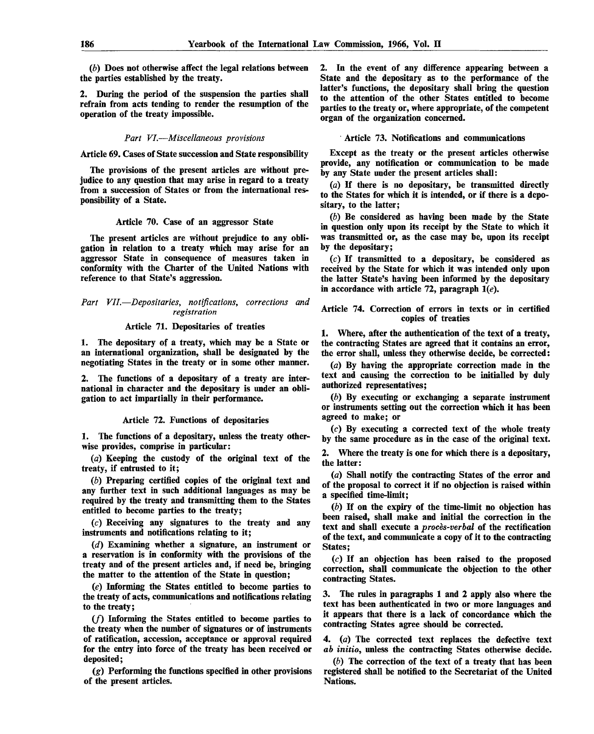*(b)* **Does not otherwise affect the legal relations between the parties established by the treaty.**

**2. During the period of the suspension the parties shall refrain from acts tending to render the resumption of the operation of the treaty impossible.**

# *Part VI.***—***Miscellaneous provisions*

**Article 69. Cases of State succession and State responsibility**

**The provisions of the present articles are without prejudice to any question that may arise in regard to a treaty from a succession of States or from the international responsibility of a State.**

#### **Article 70. Case of an aggressor State**

**The present articles are without prejudice to any obligation in relation to a treaty which may arise for an aggressor State in consequence of measures taken in conformity with the Charter of the United Nations with reference to that State's aggression.**

# *Part VII.***—***Depositaries, notifications, corrections and registration*

# **Article 71. Depositaries of treaties**

**1. The depositary of a treaty, which may be a State or an international organization, shall be designated by the negotiating States in the treaty or in some other manner.**

**2. The functions of a depositary of a treaty are international in character and the depositary is under an obligation to act impartially in their performance.**

### **Article 72. Functions of depositaries**

**1. The functions of a depositary, unless the treaty otherwise provides, comprise in particular:**

**(a) Keeping the custody of the original text of the treaty, if entrusted to it;**

*(b)* **Preparing certified copies of the original text and any further text in such additional languages as may be required by the treaty and transmitting them to the States entitled to become parties to the treaty;**

**(c) Receiving any signatures to the treaty and any instruments and notifications relating to it;**

*(d)* **Examining whether a signature, an instrument or a reservation is in conformity with the provisions of the treaty and of the present articles and, if need be, bringing the matter to the attention of the State in question;**

*(e)* **Informing the States entitled to become parties to the treaty of acts, communications and notifications relating to the treaty;**

**(/) Informing the States entitled to become parties to the treaty when the number of signatures or of instruments of ratification, accession, acceptance or approval required for the entry into force of the treaty has been received or deposited;**

*(g)* **Performing the functions specified in other provisions of the present articles.**

**2. In the event of any difference appearing between a State and the depositary as to the performance of the latter's functions, the depositary shall bring the question to the attention of the other States entitled to become parties to the treaty or, where appropriate, of the competent organ of the organization concerned.**

### **Article 73. Notifications and communications**

**Except as the treaty or the present articles otherwise provide, any notification or communication to be made by any State under the present articles shall:**

*(a)* **If there is no depositary, be transmitted directly to the States for which it is intended, or if there is a depositary, to the latter;**

*(b)* **Be considered as having been made by the State in question only upon its receipt by the State to which it was transmitted or, as the case may be, upon its receipt by the depositary;**

*(c)* **If transmitted to a depositary, be considered as received by the State for which it was intended only upon the latter State's having been informed by the depositary in accordance with article 72, paragraph l(e).**

**Article 74. Correction of errors in texts or in certified copies of treaties**

**1. Where, after the authentication of the text of a treaty, the contracting States are agreed that it contains an error, the error shall, unless they otherwise decide, be corrected:**

*(a)* **By having the appropriate correction made in the text and causing the correction to be initialled by duly authorized representatives;**

*(b)* **By executing or exchanging a separate instrument or instruments setting out the correction which it has been agreed to make; or**

**(c) By executing a corrected text of the whole treaty by the same procedure as in the case of the original text.**

**2. Where the treaty is one for which there is a depositary, the latter:**

*(a)* **Shall notify the contracting States of the error and of the proposal to correct it if no objection is raised within a specified time-limit;**

*(b)* **If on the expiry of the time-limit no objection has been raised, shall make and initial the correction in the text and shall execute a** *proces-verbal* **of the rectification of the text, and communicate a copy of it to the contracting States;**

**(c) If an objection has been raised to the proposed correction, shall communicate the objection to the other contracting States.**

**3. The rules in paragraphs 1 and 2 apply also where the text has been authenticated in two or more languages and it appears that there is a lack of concordance which the contracting States agree should be corrected.**

**4.** *(a)* **The corrected text replaces the defective text** *ab initio,* **unless the contracting States otherwise decide.**

*(b)* **The correction of the text of a treaty that has been registered shall be notified to the Secretariat of the United Nations.**